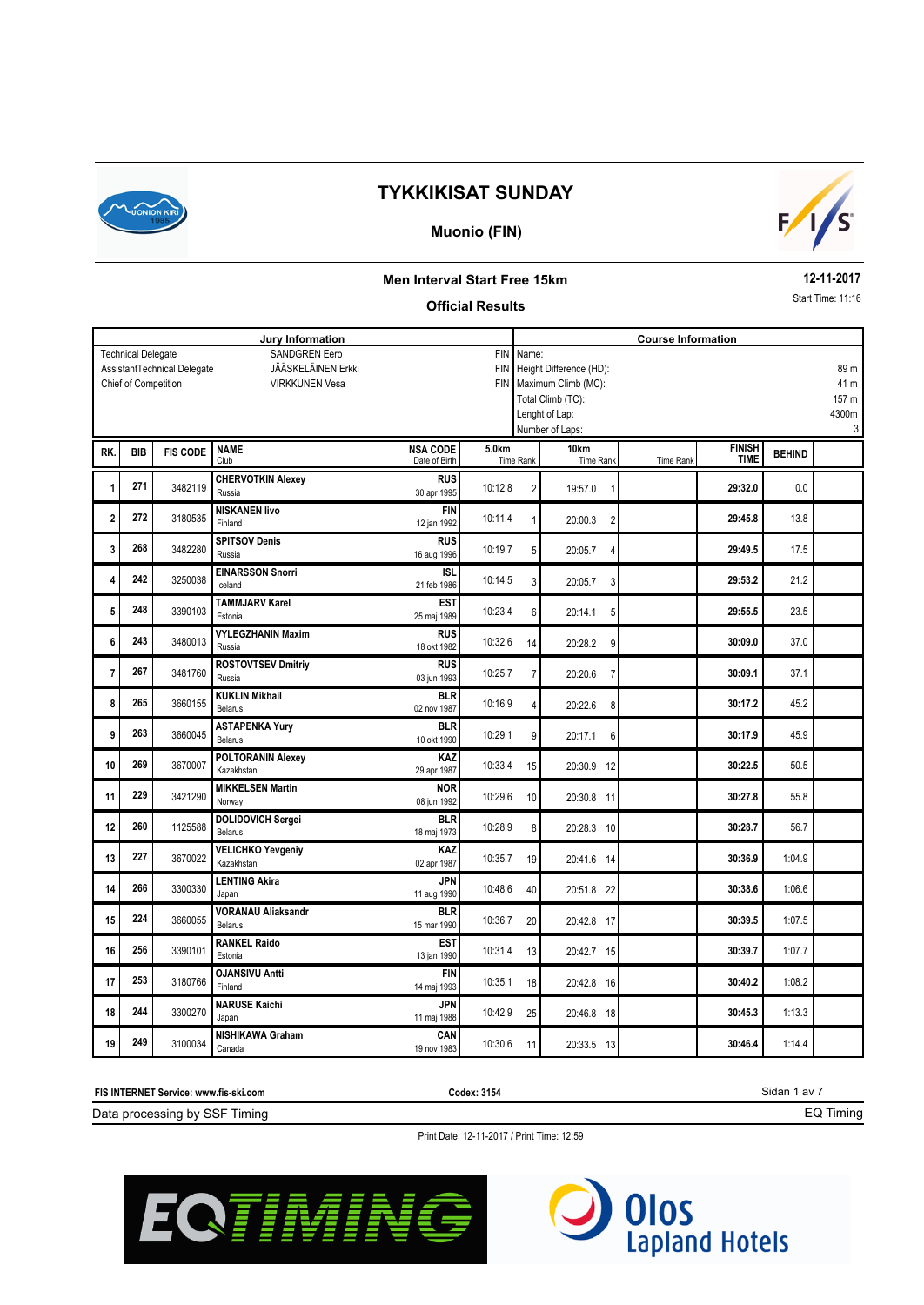

#### **Muonio (FIN)**



#### **Men Interval Start Free 15km**

#### **Official Results**

**12-11-2017** Start Time: 11:16

EQ Timing

**Jury Information Course Information** SANDGREN Eero JÄÄSKELÄINEN Erkki VIRKKUNEN Vesa Technical Delegate Chief of Competition AssistantTechnical Delegate FIN Name: FIN Height Difference (HD): FIN Maximum Climb (MC): Total Climb (TC): Lenght of Lap: Number of Laps: 89 m 41 m 157 m 4300m 3 **BEHIND BEHIND BEHIND BEHIND FINISH BEHIND FINISH BEHIND** RK. BIB FIS CODE NAME TING TO A SA CODE SUKM TING TO THE RANK TIME RANK TIME TING TIME<br>Date of Birth Time Rank Time Rank Time Rank Time Rank Club Time Rank Date of Birth Time Rank Time Rank **BIB 5.0km 10km FIS CODE NSA CODE** 0.0 **CHERVOTKIN Alexey 1 1 271 3482119 Russia 2 20:32.0 20:32.0 20:32.0 20:32.0 20:32.0 29:32.0 RUS <sup>271</sup>** 19:57.0 1 Russia 30 apr 1995 13.8 **NISKANEN Iivo 2 272** 3180535 index 10:11.4 1 **20:00.3 2 29:45.8 272** 2180535 **NISKANEN live**<br>12 jan 1992 10:11.4 1 20:00.3 2 17.5 **SPITSOV Denis 3 268 3482280 Russia 29:49.5 16:20:00 10:19.7 5 20:05.7 4 10:19.7 5 20:05.7 4 29:49.5 268** 3482280 **SPITSOV Denis**<br>16 aug 1996 10:19.7 5 20:05.7 4 21.2 **EINARSSON Snorri 4 242 20:0038 1 29:53.2 20:0058 20:005.7 <b>212 20:005.7 <b>212 20:005.7** 29:53.2 **242** 3250038 **IEINARSSON Snorri 1988 10:14.5 21 20:05.7 3 20:05.7 3** 23.5 **TAMMJARV Karel 5 1 248 1 3390103 i 1 29:55.5 1 29:55.5 10:23.4 6 20:14.1 5 1 29:55.5 EST <sup>248</sup>** 20:14.1 5 Estonia 25 maj 1989 37.0 **VYLEGZHANIN Maxim 6** 3480013 10:32.6 14 **30:09.0 243 2480013 PYLEGZHANIN Maxim**<br>18 okt 1982 **10:32.6** 14 **20:28.2** 9 37.1 **ROSTOVTSEV Dmitriy 7 1 267 1 3481760 Russia <b>10:25.7 1 10:25.7 7 1 20:20.6 7 1 30:09.1 267** 3481760 **ROSTOVTSEV Dmitriy RUS RUS 267** 10:25.7 7 20:20.6 7 45.2 **KUKLIN Mikhail 8 8 3660155 10:16.9 10:16.9 10:16.9 10:22.6 8 10:17.2 265** 3660155 **KUKLIN Mikhail BLR BLR** 10:16.9 4 20:22.6 8 45.9 **ASTAPENKA Yury 9 10:29.1** 9 **10:29.1** 9 **10:29.1** 9 **10:29.1** 9 **20:17.1** 6 **10:29.1** 8 **30:17.9 BLR <sup>263</sup>** 20:17.1 6 Belarus 10 okt 1990 50.5 **POLTORANIN Alexey 10 269** 3670007 **CONTRES 10:33.4 15 20:30.9 12 30:22.5 269** 3670007 **POLTORANIN Alexey KAZ KAZ** 10:33.4 15 20:30.9 12 55.8 **MIKKELSEN Martin 11 229 3421290 CONTRIGUITY ON THE CONTROL CONTROL 11 30:27.8 CONTRIGUITY 10:29.6 10 20:30.8 11 30:27.8 229** 3421290 MIKKELSEN Martin **NOR** 10:29.6 10 20:30.8 11 56.7 **DOLIDOVICH Sergei 12 12 10 1125588 Relative CONSTRAINER 120:28.7 10:28.9 8 30:28.7 10 30:28.7 BLR <sup>260</sup>** 20:28.3 10 Belarus 18 maj 1973 1:04.9 **VELICHKO Yevgeniy 13** 3670022 10:35.7 19 **30:36.9 227** 2870022 **VELICHKO Yevgeniy**<br>
02 apr 1987 10:35.7 19 20:41.6 14 1:06.6 **LENTING Akira 14 266 3300330 120:00 30:38.6 14:00 10:48.6 <b>40 120:51.8 22 14:00 10:48.6 14:00 10:48.6 40 10:48.6 40 20:51.8 22 266** 3300330 **LENTING Akira 12 JPN 11** aug 1990 **10:48.6** 40 **20:51.8** 22 1:07.5 **VORANAU Aliaksandr 15 16 3660055 16.1 <b>16.1 16.1 <b>16.1 16.1 16.1 10.36.7 20 19.30.39.5 16.1 10.36.7 20 19.30.39.5 224** 3660055 **VORANAU Aliaksandr BLR BLR** 10:36.7 20 20:42.8 17 1:07.7 **RANKEL Raido 16** 3390101 10:31.4 13 **30:39.7 256** 2390101 **RANKEL Raido EST** 10:31.4 13 20:42.7 15 1:08.2 **OJANSIVU Antti 17 253 180766 1 10:35.1 18 20:42.8 16 18 10:35.1 18 20:42.8 16 10:40.2 253** 20:42.8 16 **214 12 13 130766 CJANSIVU Antti 14** maj 1993 10:35.1 18 20:42.8 16 1:13.3 **NARUSE Kaichi 18 18 3300270 10:45.3 10:42.9 10:42.9 20:46.8 18 10:42.9 20:46.8 18 10:42.9 20:46.8 18 10:42.9 20:46.8 18 244** 3300270 Japan **Kaichi 244** JPN JPN 3300270 Japan 10:42.9 25 20:46.8 18 1:14.4 **NISHIKAWA Graham 19 19 249 3100034 Canada Contract Contract Contract Contract Contract Contract Contract Contract Contract Contract Contract Contract Contract Contract Contract Contract Contract Contract Contract Contract Contract 249** 3100034 NISHIKAWA Graham **CAN** CAN CAN 10:30.6 11 20:33.5 13

Sidan 1 av 7 Data processing by SSF Timing **FIS INTERNET Service: www.fis-ski.com Codex: 3154**



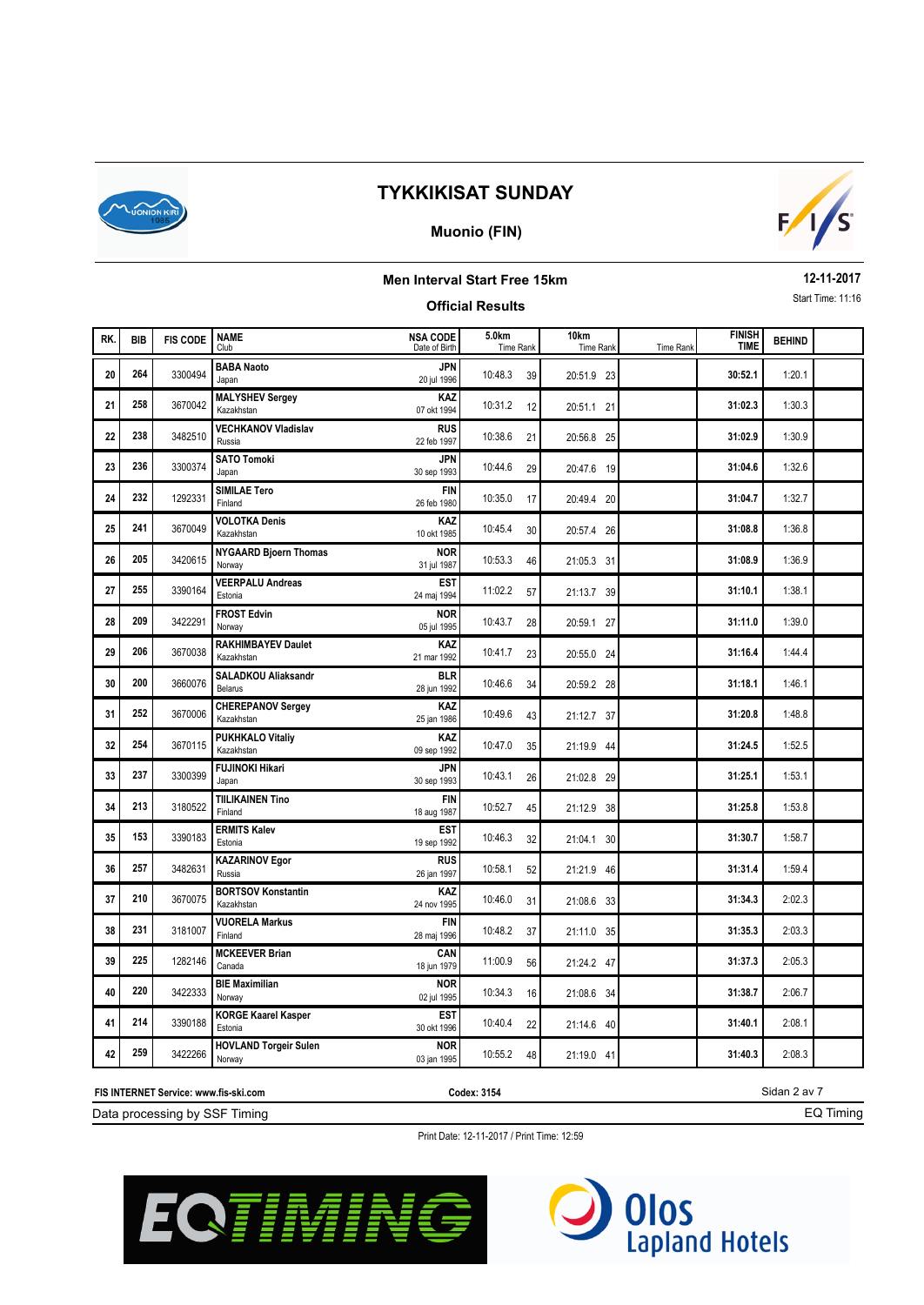

### **Muonio (FIN)**



### **Men Interval Start Free 15km Official Results**

**12-11-2017** Start Time: 11:16

| RK. | <b>BIB</b> | <b>FIS CODE</b> | <b>NAME</b><br>Club                     | <b>NSA CODE</b><br>Date of Birth | 5.0km<br>Time Rank | 10km<br>Time Rank | <b>Time Rank</b> | <b>FINISH</b><br><b>TIME</b> | <b>BEHIND</b> |  |
|-----|------------|-----------------|-----------------------------------------|----------------------------------|--------------------|-------------------|------------------|------------------------------|---------------|--|
| 20  | 264        | 3300494         | <b>BABA Naoto</b><br>Japan              | JPN<br>20 jul 1996               | 10:48.3<br>39      | 20:51.9 23        |                  | 30:52.1                      | 1:20.1        |  |
| 21  | 258        | 3670042         | <b>MALYSHEV Sergey</b><br>Kazakhstan    | <b>KAZ</b><br>07 okt 1994        | 10:31.2<br>12      | 20:51.1 21        |                  | 31:02.3                      | 1:30.3        |  |
| 22  | 238        | 3482510         | <b>VECHKANOV Vladislav</b><br>Russia    | <b>RUS</b><br>22 feb 1997        | 10:38.6<br>21      | 20:56.8 25        |                  | 31:02.9                      | 1:30.9        |  |
| 23  | 236        | 3300374         | <b>SATO Tomoki</b><br>Japan             | <b>JPN</b><br>30 sep 1993        | 10:44.6<br>29      | 20:47.6 19        |                  | 31:04.6                      | 1:32.6        |  |
| 24  | 232        | 1292331         | SIMILAE Tero<br>Finland                 | <b>FIN</b><br>26 feb 1980        | 10:35.0<br>17      | 20:49.4 20        |                  | 31:04.7                      | 1:32.7        |  |
| 25  | 241        | 3670049         | <b>VOLOTKA Denis</b><br>Kazakhstan      | KAZ<br>10 okt 1985               | 10:45.4<br>30      | 20:57.4 26        |                  | 31:08.8                      | 1:36.8        |  |
| 26  | 205        | 3420615         | <b>NYGAARD Bjoern Thomas</b><br>Norway  | <b>NOR</b><br>31 jul 1987        | 10:53.3<br>46      | 21:05.3 31        |                  | 31:08.9                      | 1:36.9        |  |
| 27  | 255        | 3390164         | <b>VEERPALU Andreas</b><br>Estonia      | <b>EST</b><br>24 maj 1994        | 11:02.2<br>57      | 21:13.7 39        |                  | 31:10.1                      | 1:38.1        |  |
| 28  | 209        | 3422291         | <b>FROST Edvin</b><br>Norway            | <b>NOR</b><br>05 jul 1995        | 10:43.7<br>28      | 20:59.1 27        |                  | 31:11.0                      | 1:39.0        |  |
| 29  | 206        | 3670038         | <b>RAKHIMBAYEV Daulet</b><br>Kazakhstan | KAZ<br>21 mar 1992               | 10:41.7<br>23      | 20:55.0 24        |                  | 31:16.4                      | 1:44.4        |  |
| 30  | 200        | 3660076         | <b>SALADKOU Aliaksandr</b><br>Belarus   | <b>BLR</b><br>28 jun 1992        | 10:46.6<br>34      | 20:59.2 28        |                  | 31:18.1                      | 1:46.1        |  |
| 31  | 252        | 3670006         | <b>CHEREPANOV Sergey</b><br>Kazakhstan  | KAZ<br>25 jan 1986               | 10:49.6<br>43      | 21:12.7 37        |                  | 31:20.8                      | 1:48.8        |  |
| 32  | 254        | 3670115         | <b>PUKHKALO Vitaliy</b><br>Kazakhstan   | KAZ<br>09 sep 1992               | 10:47.0<br>35      | 21:19.9 44        |                  | 31:24.5                      | 1:52.5        |  |
| 33  | 237        | 3300399         | <b>FUJINOKI Hikari</b><br>Japan         | JPN<br>30 sep 1993               | 10:43.1<br>26      | 21:02.8 29        |                  | 31:25.1                      | 1:53.1        |  |
| 34  | 213        | 3180522         | <b>TIILIKAINEN Tino</b><br>Finland      | <b>FIN</b><br>18 aug 1987        | 10:52.7<br>45      | 21:12.9 38        |                  | 31:25.8                      | 1:53.8        |  |
| 35  | 153        | 3390183         | <b>ERMITS Kalev</b><br>Estonia          | <b>EST</b><br>19 sep 1992        | 10:46.3<br>32      | 21:04.1 30        |                  | 31:30.7                      | 1:58.7        |  |
| 36  | 257        | 3482631         | <b>KAZARINOV Egor</b><br>Russia         | <b>RUS</b><br>26 jan 1997        | 10:58.1<br>52      | 21:21.9 46        |                  | 31:31.4                      | 1:59.4        |  |
| 37  | 210        | 3670075         | <b>BORTSOV Konstantin</b><br>Kazakhstan | KAZ<br>24 nov 1995               | 10:46.0<br>31      | 21:08.6 33        |                  | 31:34.3                      | 2:02.3        |  |
| 38  | 231        | 3181007         | <b>VUORELA Markus</b><br>Finland        | <b>FIN</b><br>28 maj 1996        | 10:48.2<br>37      | 21:11.0 35        |                  | 31:35.3                      | 2:03.3        |  |
| 39  | 225        | 1282146         | <b>MCKEEVER Brian</b><br>Canada         | CAN<br>18 jun 1979               | 11:00.9<br>56      | 21:24.2 47        |                  | 31:37.3                      | 2:05.3        |  |
| 40  | 220        | 3422333         | <b>BIE Maximilian</b><br>Norway         | <b>NOR</b><br>02 jul 1995        | 10:34.3<br>16      | 21:08.6 34        |                  | 31:38.7                      | 2:06.7        |  |
| 41  | 214        | 3390188         | <b>KORGE Kaarel Kasper</b><br>Estonia   | <b>EST</b><br>30 okt 1996        | 10:40.4<br>22      | 21:14.6 40        |                  | 31:40.1                      | 2:08.1        |  |
| 42  | 259        | 3422266         | <b>HOVLAND Torgeir Sulen</b><br>Norway  | <b>NOR</b><br>03 jan 1995        | 10:55.2<br>48      | 21:19.0 41        |                  | 31:40.3                      | 2:08.3        |  |

**FIS INTERNET Service: www.fis-ski.com**

**Codex: 3154**

Sidan 2 av 7 EQ Timing

Data processing by SSF Timing



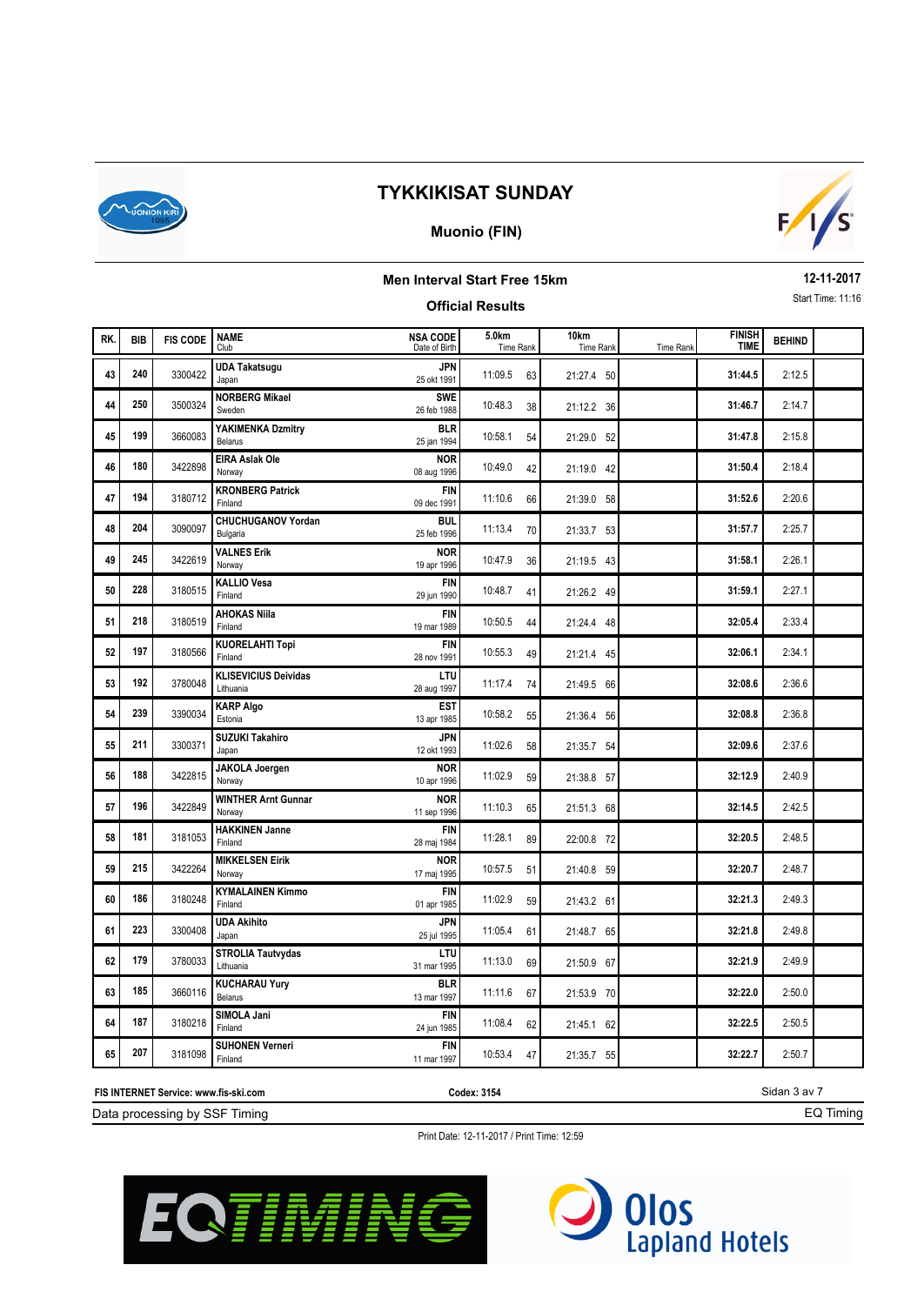

### **Muonio (FIN)**



### **Men Interval Start Free 15km Official Results**

**12-11-2017** Start Time: 11:16

| RK. | <b>BIB</b> | <b>FIS CODE</b> | <b>NAME</b><br>Club                      | <b>NSA CODE</b><br>Date of Birth | 5.0km<br>Time Rank | 10km<br>Time Rank | Time Rank | <b>FINISH</b><br><b>TIME</b> | <b>BEHIND</b> |  |
|-----|------------|-----------------|------------------------------------------|----------------------------------|--------------------|-------------------|-----------|------------------------------|---------------|--|
| 43  | 240        | 3300422         | <b>UDA Takatsugu</b><br>Japan            | <b>JPN</b><br>25 okt 1991        | 11:09.5<br>63      | 21:27.4 50        |           | 31:44.5                      | 2:12.5        |  |
| 44  | 250        | 3500324         | <b>NORBERG Mikael</b><br>Sweden          | <b>SWE</b><br>26 feb 1988        | 10:48.3<br>38      | 21:12.2 36        |           | 31:46.7                      | 2:14.7        |  |
| 45  | 199        | 3660083         | YAKIMENKA Dzmitry<br>Belarus             | <b>BLR</b><br>25 jan 1994        | 10:58.1<br>54      | 21:29.0 52        |           | 31:47.8                      | 2:15.8        |  |
| 46  | 180        | 3422898         | <b>EIRA Aslak Ole</b><br>Norway          | <b>NOR</b><br>08 aug 1996        | 10:49.0<br>42      | 21:19.0 42        |           | 31:50.4                      | 2:18.4        |  |
| 47  | 194        | 3180712         | <b>KRONBERG Patrick</b><br>Finland       | <b>FIN</b><br>09 dec 1991        | 11:10.6<br>66      | 21:39.0 58        |           | 31:52.6                      | 2:20.6        |  |
| 48  | 204        | 3090097         | <b>CHUCHUGANOV Yordan</b><br>Bulgaria    | <b>BUL</b><br>25 feb 1996        | 11:13.4<br>70      | 21:33.7 53        |           | 31:57.7                      | 2:25.7        |  |
| 49  | 245        | 3422619         | <b>VALNES Erik</b><br>Norway             | <b>NOR</b><br>19 apr 1996        | 10:47.9<br>36      | 21:19.5 43        |           | 31:58.1                      | 2:26.1        |  |
| 50  | 228        | 3180515         | <b>KALLIO Vesa</b><br>Finland            | <b>FIN</b><br>29 jun 1990        | 10:48.7<br>41      | 21:26.2 49        |           | 31:59.1                      | 2:27.1        |  |
| 51  | 218        | 3180519         | <b>AHOKAS Niila</b><br>Finland           | <b>FIN</b><br>19 mar 1989        | 10:50.5<br>44      | 21:24.4 48        |           | 32:05.4                      | 2:33.4        |  |
| 52  | 197        | 3180566         | <b>KUORELAHTI Topi</b><br>Finland        | <b>FIN</b><br>28 nov 1991        | 10:55.3<br>49      | 21:21.4 45        |           | 32:06.1                      | 2:34.1        |  |
| 53  | 192        | 3780048         | <b>KLISEVICIUS Deividas</b><br>Lithuania | LTU<br>28 aug 1997               | 11:17.4<br>74      | 21:49.5 66        |           | 32:08.6                      | 2:36.6        |  |
| 54  | 239        | 3390034         | <b>KARP Algo</b><br>Estonia              | <b>EST</b><br>13 apr 1985        | 10:58.2<br>55      | 21:36.4 56        |           | 32:08.8                      | 2:36.8        |  |
| 55  | 211        | 3300371         | <b>SUZUKI Takahiro</b><br>Japan          | <b>JPN</b><br>12 okt 1993        | 11:02.6<br>58      | 21:35.7 54        |           | 32:09.6                      | 2:37.6        |  |
| 56  | 188        | 3422815         | <b>JAKOLA Joergen</b><br>Norway          | <b>NOR</b><br>10 apr 1996        | 11:02.9<br>59      | 21:38.8 57        |           | 32:12.9                      | 2:40.9        |  |
| 57  | 196        | 3422849         | <b>WINTHER Arnt Gunnar</b><br>Norway     | <b>NOR</b><br>11 sep 1996        | 11:10.3<br>65      | 21:51.3 68        |           | 32:14.5                      | 2:42.5        |  |
| 58  | 181        | 3181053         | <b>HAKKINEN Janne</b><br>Finland         | <b>FIN</b><br>28 maj 1984        | 11:28.1<br>89      | 22:00.8 72        |           | 32:20.5                      | 2:48.5        |  |
| 59  | 215        | 3422264         | <b>MIKKELSEN Eirik</b><br>Norway         | <b>NOR</b><br>17 maj 1995        | 10:57.5<br>51      | 21:40.8 59        |           | 32:20.7                      | 2:48.7        |  |
| 60  | 186        | 3180248         | <b>KYMALAINEN Kimmo</b><br>Finland       | <b>FIN</b><br>01 apr 1985        | 11:02.9<br>59      | 21:43.2 61        |           | 32:21.3                      | 2:49.3        |  |
| 61  | 223        | 3300408         | <b>UDA Akihito</b><br>Japan              | <b>JPN</b><br>25 jul 1995        | 11:05.4<br>61      | 21:48.7 65        |           | 32:21.8                      | 2:49.8        |  |
| 62  | 179        | 3780033         | <b>STROLIA Tautvydas</b><br>Lithuania    | LTU<br>31 mar 1995               | 11:13.0<br>69      | 21:50.9 67        |           | 32:21.9                      | 2:49.9        |  |
| 63  | 185        | 3660116         | <b>KUCHARAU Yury</b><br>Belarus          | <b>BLR</b><br>13 mar 1997        | 11:11.6<br>67      | 21:53.9 70        |           | 32:22.0                      | 2:50.0        |  |
| 64  | 187        | 3180218         | SIMOLA Jani<br>Finland                   | <b>FIN</b><br>24 jun 1985        | 11:08.4<br>62      | 21:45.1 62        |           | 32:22.5                      | 2:50.5        |  |
| 65  | 207        | 3181098         | <b>SUHONEN Verneri</b><br>Finland        | <b>FIN</b><br>11 mar 1997        | 10:53.4<br>47      | 21:35.7 55        |           | 32:22.7                      | 2:50.7        |  |

**FIS INTERNET Service: www.fis-ski.com**

**Codex: 3154**

Sidan 3 av 7 EQ Timing

Data processing by SSF Timing



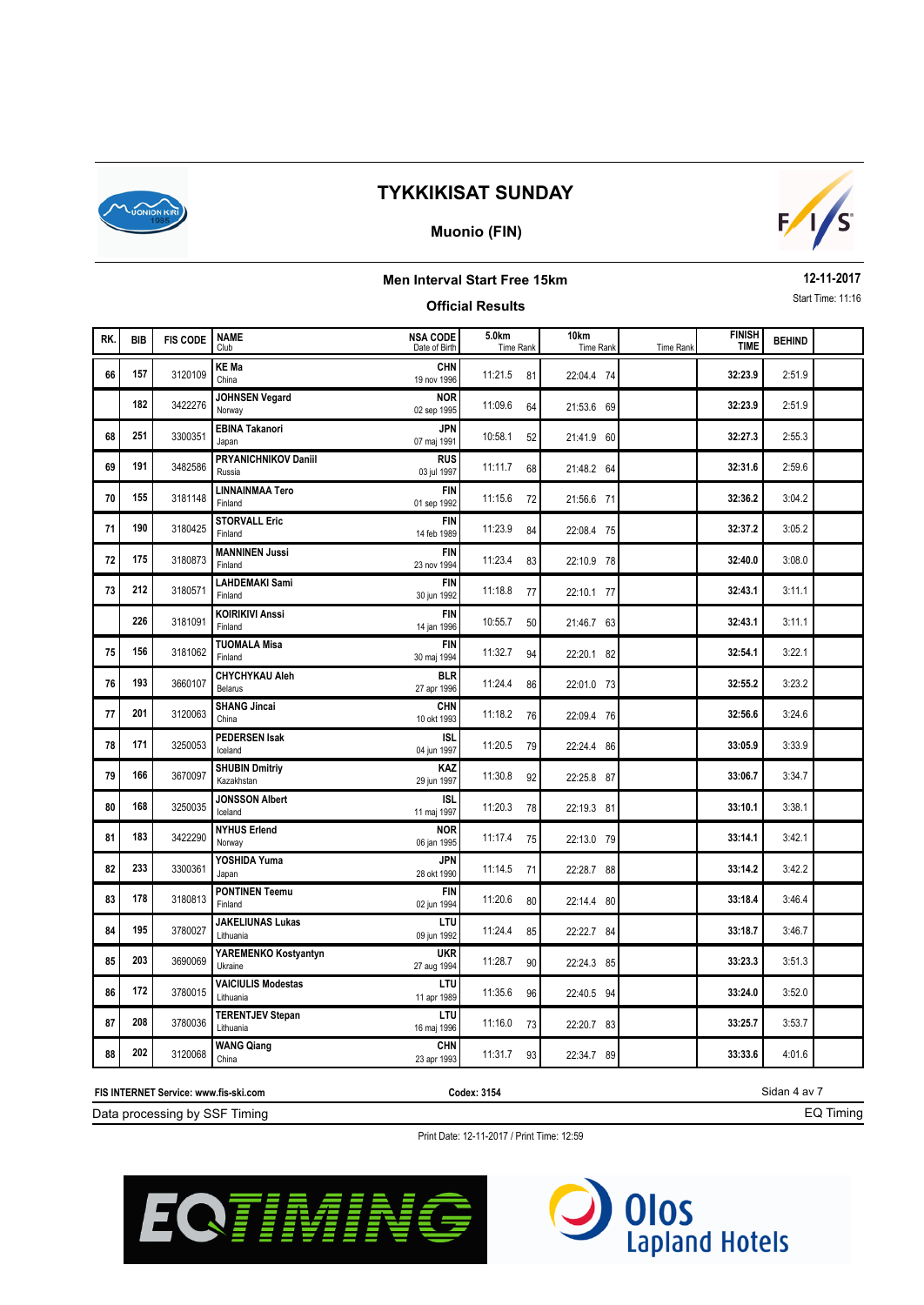

### **Muonio (FIN)**



### **Men Interval Start Free 15km Official Results**

**12-11-2017** Start Time: 11:16

| RK. | <b>BIB</b> | <b>FIS CODE</b> | <b>NAME</b><br>Club                    | <b>NSA CODE</b><br>Date of Birth | 5.0km<br>Time Rank | 10 <sub>km</sub><br>Time Rank | <b>Time Rank</b> | <b>FINISH</b><br><b>TIME</b> | <b>BEHIND</b> |  |
|-----|------------|-----------------|----------------------------------------|----------------------------------|--------------------|-------------------------------|------------------|------------------------------|---------------|--|
| 66  | 157        | 3120109         | <b>KE Ma</b><br>China                  | <b>CHN</b><br>19 nov 1996        | 11:21.5<br>81      | 22:04.4 74                    |                  | 32:23.9                      | 2:51.9        |  |
|     | 182        | 3422276         | JOHNSEN Vegard<br>Norway               | <b>NOR</b><br>02 sep 1995        | 11:09.6<br>64      | 21:53.6 69                    |                  | 32:23.9                      | 2:51.9        |  |
| 68  | 251        | 3300351         | <b>EBINA Takanori</b><br>Japan         | JPN<br>07 maj 1991               | 10:58.1<br>52      | 21:41.9 60                    |                  | 32:27.3                      | 2:55.3        |  |
| 69  | 191        | 3482586         | <b>PRYANICHNIKOV Daniil</b><br>Russia  | <b>RUS</b><br>03 jul 1997        | 11:11.7<br>68      | 21:48.2 64                    |                  | 32:31.6                      | 2:59.6        |  |
| 70  | 155        | 3181148         | LINNAINMAA Tero<br>Finland             | <b>FIN</b><br>01 sep 1992        | 11:15.6<br>72      | 21:56.6 71                    |                  | 32:36.2                      | 3:04.2        |  |
| 71  | 190        | 3180425         | <b>STORVALL Eric</b><br>Finland        | <b>FIN</b><br>14 feb 1989        | 11:23.9<br>84      | 22:08.4 75                    |                  | 32:37.2                      | 3:05.2        |  |
| 72  | 175        | 3180873         | <b>MANNINEN Jussi</b><br>Finland       | <b>FIN</b><br>23 nov 1994        | 11:23.4<br>83      | 22:10.9 78                    |                  | 32:40.0                      | 3:08.0        |  |
| 73  | 212        | 3180571         | <b>LAHDEMAKI Sami</b><br>Finland       | <b>FIN</b><br>30 jun 1992        | 11:18.8<br>77      | 22:10.1 77                    |                  | 32:43.1                      | 3:11.1        |  |
|     | 226        | 3181091         | <b>KOIRIKIVI Anssi</b><br>Finland      | <b>FIN</b><br>14 jan 1996        | 10:55.7<br>50      | 21:46.7 63                    |                  | 32:43.1                      | 3:11.1        |  |
| 75  | 156        | 3181062         | <b>TUOMALA Misa</b><br>Finland         | <b>FIN</b><br>30 maj 1994        | 11:32.7<br>94      | 22:20.1 82                    |                  | 32:54.1                      | 3:22.1        |  |
| 76  | 193        | 3660107         | <b>CHYCHYKAU Aleh</b><br>Belarus       | <b>BLR</b><br>27 apr 1996        | 11:24.4<br>86      | 22:01.0 73                    |                  | 32:55.2                      | 3:23.2        |  |
| 77  | 201        | 3120063         | <b>SHANG Jincai</b><br>China           | <b>CHN</b><br>10 okt 1993        | 11:18.2<br>76      | 22:09.4 76                    |                  | 32:56.6                      | 3:24.6        |  |
| 78  | 171        | 3250053         | <b>PEDERSEN Isak</b><br>Iceland        | ISL<br>04 jun 1997               | 11:20.5<br>79      | 22:24.4 86                    |                  | 33:05.9                      | 3:33.9        |  |
| 79  | 166        | 3670097         | <b>SHUBIN Dmitriy</b><br>Kazakhstan    | <b>KAZ</b><br>29 jun 1997        | 11:30.8<br>92      | 22:25.8 87                    |                  | 33:06.7                      | 3:34.7        |  |
| 80  | 168        | 3250035         | <b>JONSSON Albert</b><br>Iceland       | isl<br>11 maj 1997               | 11:20.3<br>78      | 22:19.3 81                    |                  | 33:10.1                      | 3:38.1        |  |
| 81  | 183        | 3422290         | <b>NYHUS Erlend</b><br>Norway          | NOR<br>06 jan 1995               | 11:17.4<br>75      | 22:13.0 79                    |                  | 33:14.1                      | 3:42.1        |  |
| 82  | 233        | 3300361         | YOSHIDA Yuma<br>Japan                  | JPN<br>28 okt 1990               | 11:14.5<br>71      | 22:28.7 88                    |                  | 33:14.2                      | 3:42.2        |  |
| 83  | 178        | 3180813         | <b>PONTINEN Teemu</b><br>Finland       | <b>FIN</b><br>02 jun 1994        | 11:20.6<br>80      | 22:14.4 80                    |                  | 33:18.4                      | 3:46.4        |  |
| 84  | 195        | 3780027         | <b>JAKELIUNAS Lukas</b><br>Lithuania   | LTU<br>09 jun 1992               | 11:24.4<br>85      | 22:22.7 84                    |                  | 33:18.7                      | 3:46.7        |  |
| 85  | 203        | 3690069         | YAREMENKO Kostyantyn<br>Ukraine        | <b>UKR</b><br>27 aug 1994        | 11:28.7<br>90      | 22:24.3 85                    |                  | 33:23.3                      | 3:51.3        |  |
| 86  | 172        | 3780015         | <b>VAICIULIS Modestas</b><br>Lithuania | LTU<br>11 apr 1989               | 11:35.6<br>96      | 22:40.5 94                    |                  | 33:24.0                      | 3:52.0        |  |
| 87  | 208        | 3780036         | <b>TERENTJEV Stepan</b><br>Lithuania   | LTU<br>16 maj 1996               | 11:16.0<br>73      | 22:20.7 83                    |                  | 33:25.7                      | 3:53.7        |  |
| 88  | 202        | 3120068         | <b>WANG Qiang</b><br>China             | CHN<br>23 apr 1993               | 11:31.7<br>93      | 22:34.7 89                    |                  | 33:33.6                      | 4:01.6        |  |

Data processing by SSF Timing **FIS INTERNET Service: www.fis-ski.com**

**Codex: 3154**

Sidan 4 av 7 EQ Timing



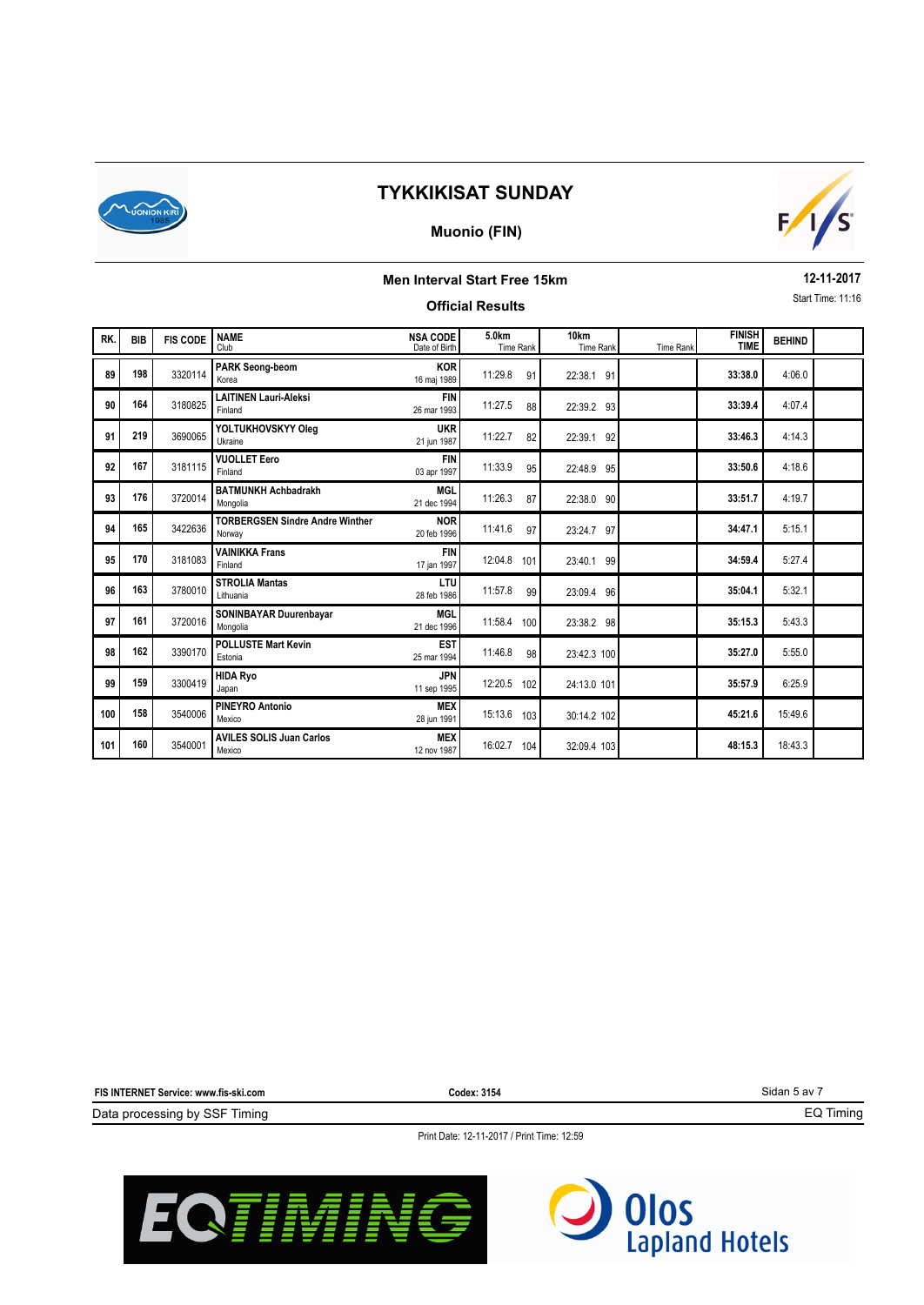

### **Muonio (FIN)**



# **Men Interval Start Free 15km**

**12-11-2017** Start Time: 11:16

|     | Start Time: 11:16<br><b>Official Results</b> |                 |                                                  |                                  |                    |                   |           |                              |               |  |  |  |  |
|-----|----------------------------------------------|-----------------|--------------------------------------------------|----------------------------------|--------------------|-------------------|-----------|------------------------------|---------------|--|--|--|--|
| RK. | <b>BIB</b>                                   | <b>FIS CODE</b> | <b>NAME</b><br>Club                              | <b>NSA CODE</b><br>Date of Birth | 5.0km<br>Time Rank | 10km<br>Time Rank | Time Rank | <b>FINISH</b><br><b>TIME</b> | <b>BEHIND</b> |  |  |  |  |
| 89  | 198                                          | 3320114         | <b>PARK Seong-beom</b><br>Korea                  | <b>KOR</b><br>16 maj 1989        | 11:29.8<br>91      | 22:38.1 91        |           | 33:38.0                      | 4:06.0        |  |  |  |  |
| 90  | 164                                          | 3180825         | <b>LAITINEN Lauri-Aleksi</b><br>Finland          | <b>FIN</b><br>26 mar 1993        | 11:27.5<br>88      | 22:39.2 93        |           | 33:39.4                      | 4:07.4        |  |  |  |  |
| 91  | 219                                          | 3690065         | YOLTUKHOVSKYY Oleg<br>Ukraine                    | <b>UKR</b><br>21 jun 1987        | 11:22.7<br>82      | 22:39.1 92        |           | 33:46.3                      | 4:14.3        |  |  |  |  |
| 92  | 167                                          | 3181115         | <b>VUOLLET Eero</b><br>Finland                   | <b>FIN</b><br>03 apr 1997        | 11:33.9<br>95      | 22:48.9 95        |           | 33:50.6                      | 4:18.6        |  |  |  |  |
| 93  | 176                                          | 3720014         | <b>BATMUNKH Achbadrakh</b><br>Mongolia           | <b>MGL</b><br>21 dec 1994        | 11:26.3<br>87      | 22:38.0 90        |           | 33:51.7                      | 4:19.7        |  |  |  |  |
| 94  | 165                                          | 3422636         | <b>TORBERGSEN Sindre Andre Winther</b><br>Norway | <b>NOR</b><br>20 feb 1996        | 11:41.6<br>97      | 23:24.7 97        |           | 34:47.1                      | 5:15.1        |  |  |  |  |
| 95  | 170                                          | 3181083         | <b>VAINIKKA Frans</b><br>Finland                 | <b>FIN</b><br>17 jan 1997        | 12:04.8 101        | 23:40.1 99        |           | 34:59.4                      | 5:27.4        |  |  |  |  |
| 96  | 163                                          | 3780010         | <b>STROLIA Mantas</b><br>Lithuania               | LTU<br>28 feb 1986               | 11:57.8<br>99      | 23:09.4 96        |           | 35:04.1                      | 5:32.1        |  |  |  |  |
| 97  | 161                                          | 3720016         | SONINBAYAR Duurenbayar<br>Mongolia               | <b>MGL</b><br>21 dec 1996        | 11:58.4 100        | 23:38.2 98        |           | 35:15.3                      | 5:43.3        |  |  |  |  |
| 98  | 162                                          | 3390170         | <b>POLLUSTE Mart Kevin</b><br>Estonia            | <b>EST</b><br>25 mar 1994        | 11:46.8<br>98      | 23:42.3 100       |           | 35:27.0                      | 5:55.0        |  |  |  |  |
| 99  | 159                                          | 3300419         | <b>HIDA Ryo</b><br>Japan                         | <b>JPN</b><br>11 sep 1995        | 12:20.5 102        | 24:13.0 101       |           | 35:57.9                      | 6:25.9        |  |  |  |  |
| 100 | 158                                          | 3540006         | <b>PINEYRO Antonio</b><br>Mexico                 | <b>MEX</b><br>28 jun 1991        | 15:13.6 103        | 30:14.2 102       |           | 45:21.6                      | 15:49.6       |  |  |  |  |
| 101 | 160                                          | 3540001         | <b>AVILES SOLIS Juan Carlos</b><br>Mexico        | <b>MEX</b><br>12 nov 1987        | 16:02.7 104        | 32:09.4 103       |           | 48:15.3                      | 18:43.3       |  |  |  |  |

**FIS INTERNET Service: www.fis-ski.com**

**Codex: 3154**

Sidan 5 av 7

EQ Timing

Data processing by SSF Timing



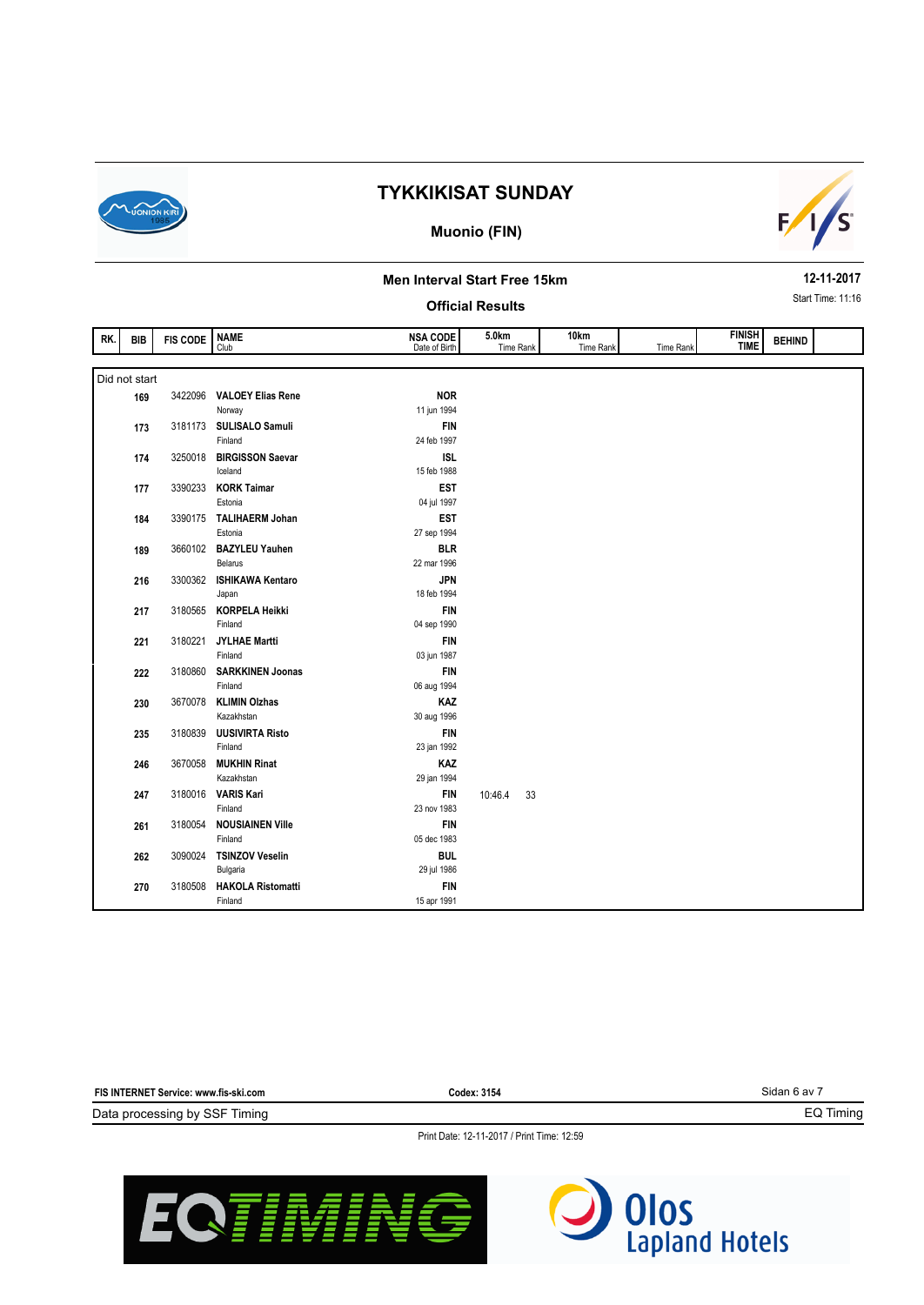

#### **Muonio (FIN)**



#### **Men Interval Start Free 15km**

#### **Official Results**

**12-11-2017** Start Time: 11:16

| RK. | BIB           | <b>FIS CODE</b> | <b>NAME</b><br>Club                | <b>NSA CODE</b><br>Date of Birth | 5.0km<br>Time Rank | 10km<br>Time Rank | Time Rank | <b>FINISH</b><br><b>TIME</b> | <b>BEHIND</b> |  |
|-----|---------------|-----------------|------------------------------------|----------------------------------|--------------------|-------------------|-----------|------------------------------|---------------|--|
|     |               |                 |                                    |                                  |                    |                   |           |                              |               |  |
|     | Did not start |                 |                                    |                                  |                    |                   |           |                              |               |  |
|     | 169           | 3422096         | <b>VALOEY Elias Rene</b>           | <b>NOR</b>                       |                    |                   |           |                              |               |  |
|     |               |                 | Norway                             | 11 jun 1994                      |                    |                   |           |                              |               |  |
|     | 173           | 3181173         | SULISALO Samuli                    | <b>FIN</b>                       |                    |                   |           |                              |               |  |
|     |               |                 | Finland                            | 24 feb 1997                      |                    |                   |           |                              |               |  |
|     | 174           | 3250018         | <b>BIRGISSON Saevar</b>            | <b>ISL</b>                       |                    |                   |           |                              |               |  |
|     |               |                 | Iceland                            | 15 feb 1988                      |                    |                   |           |                              |               |  |
|     | 177           | 3390233         | <b>KORK Taimar</b>                 | <b>EST</b>                       |                    |                   |           |                              |               |  |
|     |               |                 | Estonia                            | 04 jul 1997                      |                    |                   |           |                              |               |  |
|     | 184           | 3390175         | <b>TALIHAERM Johan</b>             | <b>EST</b>                       |                    |                   |           |                              |               |  |
|     |               |                 | Estonia                            | 27 sep 1994                      |                    |                   |           |                              |               |  |
|     | 189           | 3660102         | <b>BAZYLEU Yauhen</b>              | <b>BLR</b>                       |                    |                   |           |                              |               |  |
|     |               |                 | <b>Belarus</b>                     | 22 mar 1996                      |                    |                   |           |                              |               |  |
|     | 216           | 3300362         | <b>ISHIKAWA Kentaro</b>            | <b>JPN</b>                       |                    |                   |           |                              |               |  |
|     |               |                 | Japan                              | 18 feb 1994                      |                    |                   |           |                              |               |  |
|     | 217           | 3180565         | <b>KORPELA Heikki</b>              | <b>FIN</b>                       |                    |                   |           |                              |               |  |
|     |               |                 | Finland                            | 04 sep 1990                      |                    |                   |           |                              |               |  |
|     | 221           | 3180221         | <b>JYLHAE Martti</b>               | <b>FIN</b>                       |                    |                   |           |                              |               |  |
|     |               |                 | Finland                            | 03 jun 1987                      |                    |                   |           |                              |               |  |
|     | 222           | 3180860         | <b>SARKKINEN Joonas</b>            | <b>FIN</b>                       |                    |                   |           |                              |               |  |
|     |               |                 | Finland                            | 06 aug 1994                      |                    |                   |           |                              |               |  |
|     | 230           | 3670078         | <b>KLIMIN Olzhas</b>               | KAZ                              |                    |                   |           |                              |               |  |
|     |               |                 | Kazakhstan                         | 30 aug 1996                      |                    |                   |           |                              |               |  |
|     | 235           | 3180839         | <b>UUSIVIRTA Risto</b>             | <b>FIN</b>                       |                    |                   |           |                              |               |  |
|     |               |                 | Finland                            | 23 jan 1992                      |                    |                   |           |                              |               |  |
|     | 246           | 3670058         | <b>MUKHIN Rinat</b>                | KAZ                              |                    |                   |           |                              |               |  |
|     |               |                 | Kazakhstan                         | 29 jan 1994                      |                    |                   |           |                              |               |  |
|     | 247           | 3180016         | <b>VARIS Kari</b>                  | <b>FIN</b>                       | 33<br>10:46.4      |                   |           |                              |               |  |
|     |               |                 | Finland                            | 23 nov 1983                      |                    |                   |           |                              |               |  |
|     | 261           | 3180054         | <b>NOUSIAINEN Ville</b><br>Finland | <b>FIN</b><br>05 dec 1983        |                    |                   |           |                              |               |  |
|     |               |                 |                                    |                                  |                    |                   |           |                              |               |  |
|     | 262           | 3090024         | <b>TSINZOV Veselin</b><br>Bulgaria | <b>BUL</b><br>29 jul 1986        |                    |                   |           |                              |               |  |
|     |               | 3180508         | <b>HAKOLA Ristomatti</b>           | <b>FIN</b>                       |                    |                   |           |                              |               |  |
|     | 270           |                 | Finland                            | 15 apr 1991                      |                    |                   |           |                              |               |  |
|     |               |                 |                                    |                                  |                    |                   |           |                              |               |  |

Sidan 6 av 7 Data processing by SSF Timing **FIS INTERNET Service: www.fis-ski.com** EQ Timing **Codex: 3154**